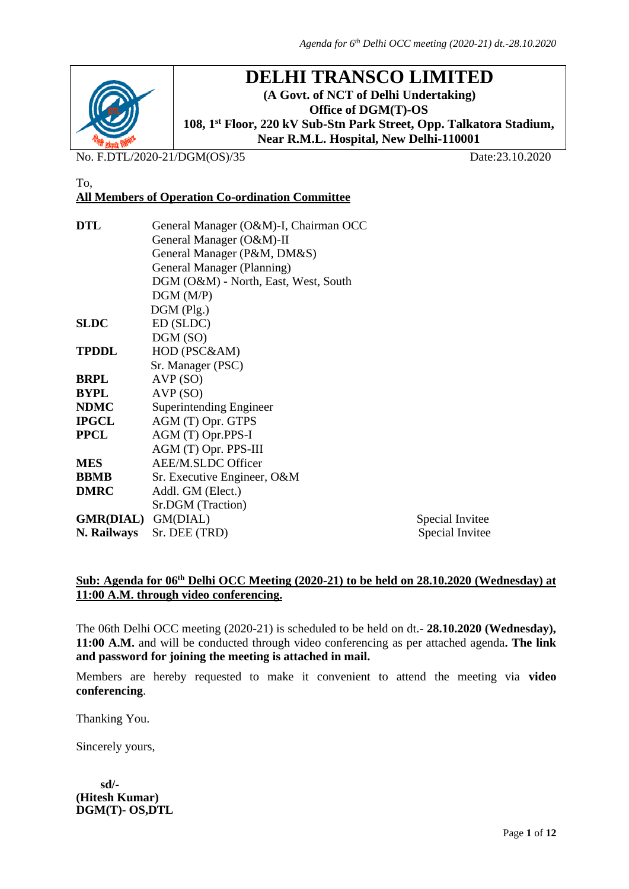

To,

# **DELHI TRANSCO LIMITED**

**(A Govt. of NCT of Delhi Undertaking) Office of DGM(T)-OS 108, 1 st Floor, 220 kV Sub-Stn Park Street, Opp. Talkatora Stadium, Near R.M.L. Hospital, New Delhi-110001**

No. F.DTL/2020-21/DGM(OS)/35 Date:23.10.2020

## **All Members of Operation Co-ordination Committee**

| DTL                | General Manager (O&M)-I, Chairman OCC |                 |
|--------------------|---------------------------------------|-----------------|
|                    | General Manager (O&M)-II              |                 |
|                    | General Manager (P&M, DM&S)           |                 |
|                    | General Manager (Planning)            |                 |
|                    | DGM (O&M) - North, East, West, South  |                 |
|                    | DGM(M/P)                              |                 |
|                    | $DGM$ (Plg.)                          |                 |
| SLDC               | ED (SLDC)                             |                 |
|                    | DGM (SO)                              |                 |
| <b>TPDDL</b>       | HOD (PSC&AM)                          |                 |
|                    | Sr. Manager (PSC)                     |                 |
| BRPL               | AVP(SO)                               |                 |
| BYPL               | AVP(SO)                               |                 |
| NDMC               | <b>Superintending Engineer</b>        |                 |
| IPGCL              | AGM (T) Opr. GTPS                     |                 |
| PPCL               | AGM (T) Opr.PPS-I                     |                 |
|                    | AGM (T) Opr. PPS-III                  |                 |
| MES                | <b>AEE/M.SLDC Officer</b>             |                 |
| BBMB               | Sr. Executive Engineer, O&M           |                 |
| <b>DMRC</b>        | Addl. GM (Elect.)                     |                 |
|                    | Sr.DGM (Traction)                     |                 |
| GMR(DIAL) GM(DIAL) |                                       | Special Invitee |
| N. Railways        | Sr. DEE (TRD)                         | Special Invitee |

#### Sub: Agenda for 06<sup>th</sup> Delhi OCC Meeting (2020-21) to be held on 28.10.2020 (Wednesday) at **11:00 A.M. through video conferencing.**

The 06th Delhi OCC meeting (2020-21) is scheduled to be held on dt.- **28.10.2020 (Wednesday), 11:00 A.M.** and will be conducted through video conferencing as per attached agenda**. The link and password for joining the meeting is attached in mail.**

Members are hereby requested to make it convenient to attend the meeting via **video conferencing**.

Thanking You.

Sincerely yours,

 **sd/- (Hitesh Kumar) DGM(T)- OS,DTL**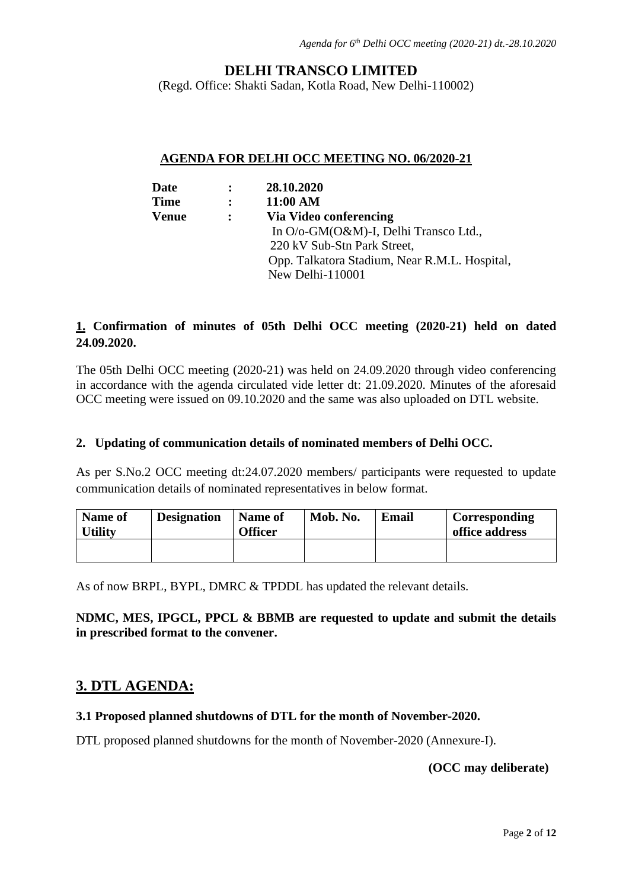### **DELHI TRANSCO LIMITED**

(Regd. Office: Shakti Sadan, Kotla Road, New Delhi-110002)

#### **AGENDA FOR DELHI OCC MEETING NO. 06/2020-21**

| Date         | $\ddot{\cdot}$ | 28.10.2020                                    |
|--------------|----------------|-----------------------------------------------|
| <b>Time</b>  | $\ddot{\cdot}$ | 11:00 AM                                      |
| <b>Venue</b> | $\ddot{\cdot}$ | Via Video conferencing                        |
|              |                | In O/o-GM(O&M)-I, Delhi Transco Ltd.,         |
|              |                | 220 kV Sub-Stn Park Street,                   |
|              |                | Opp. Talkatora Stadium, Near R.M.L. Hospital, |
|              |                | New Delhi-110001                              |
|              |                |                                               |

### **1. Confirmation of minutes of 05th Delhi OCC meeting (2020-21) held on dated 24.09.2020.**

The 05th Delhi OCC meeting (2020-21) was held on 24.09.2020 through video conferencing in accordance with the agenda circulated vide letter dt: 21.09.2020. Minutes of the aforesaid OCC meeting were issued on 09.10.2020 and the same was also uploaded on DTL website.

#### **2. Updating of communication details of nominated members of Delhi OCC.**

As per S.No.2 OCC meeting dt:24.07.2020 members/ participants were requested to update communication details of nominated representatives in below format.

| <b>Name of</b><br><b>Utility</b> | <b>Designation</b> | <b>Name of</b><br><b>Officer</b> | Mob. No. | <b>Email</b> | Corresponding<br>office address |
|----------------------------------|--------------------|----------------------------------|----------|--------------|---------------------------------|
|                                  |                    |                                  |          |              |                                 |

As of now BRPL, BYPL, DMRC & TPDDL has updated the relevant details.

#### **NDMC, MES, IPGCL, PPCL & BBMB are requested to update and submit the details in prescribed format to the convener.**

### **3. DTL AGENDA:**

#### **3.1 Proposed planned shutdowns of DTL for the month of November-2020.**

DTL proposed planned shutdowns for the month of November-2020 (Annexure-I).

#### **(OCC may deliberate)**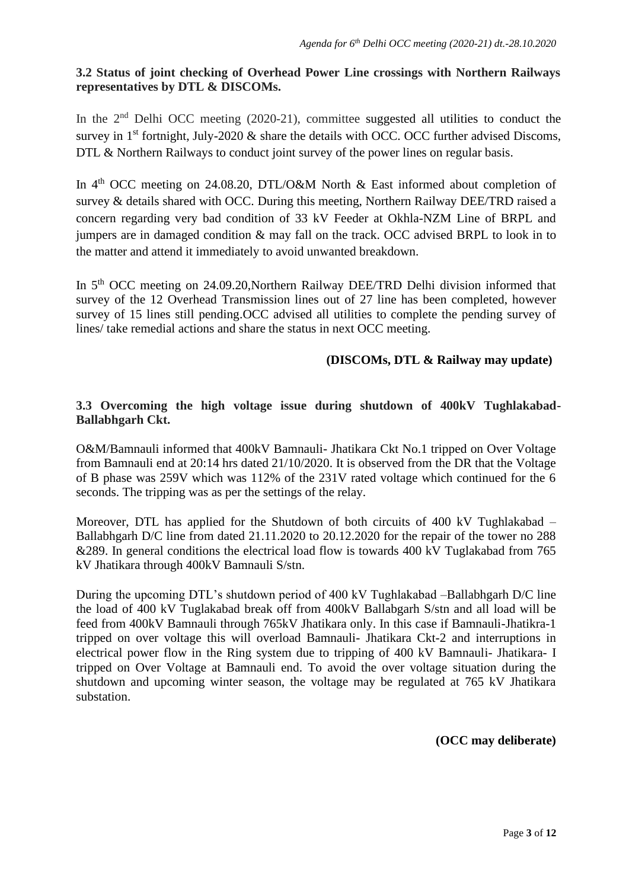#### **3.2 Status of joint checking of Overhead Power Line crossings with Northern Railways representatives by DTL & DISCOMs.**

In the 2<sup>nd</sup> Delhi OCC meeting (2020-21), committee suggested all utilities to conduct the survey in  $1<sup>st</sup>$  fortnight, July-2020  $\&$  share the details with OCC. OCC further advised Discoms, DTL & Northern Railways to conduct joint survey of the power lines on regular basis.

In 4<sup>th</sup> OCC meeting on 24.08.20, DTL/O&M North & East informed about completion of survey & details shared with OCC. During this meeting, Northern Railway DEE/TRD raised a concern regarding very bad condition of 33 kV Feeder at Okhla-NZM Line of BRPL and jumpers are in damaged condition & may fall on the track. OCC advised BRPL to look in to the matter and attend it immediately to avoid unwanted breakdown.

In 5<sup>th</sup> OCC meeting on 24.09.20, Northern Railway DEE/TRD Delhi division informed that survey of the 12 Overhead Transmission lines out of 27 line has been completed, however survey of 15 lines still pending.OCC advised all utilities to complete the pending survey of lines/ take remedial actions and share the status in next OCC meeting.

#### **(DISCOMs, DTL & Railway may update)**

#### **3.3 Overcoming the high voltage issue during shutdown of 400kV Tughlakabad-Ballabhgarh Ckt.**

O&M/Bamnauli informed that 400kV Bamnauli- Jhatikara Ckt No.1 tripped on Over Voltage from Bamnauli end at 20:14 hrs dated 21/10/2020. It is observed from the DR that the Voltage of B phase was 259V which was 112% of the 231V rated voltage which continued for the 6 seconds. The tripping was as per the settings of the relay.

Moreover, DTL has applied for the Shutdown of both circuits of 400 kV Tughlakabad – Ballabhgarh D/C line from dated 21.11.2020 to 20.12.2020 for the repair of the tower no 288 &289. In general conditions the electrical load flow is towards 400 kV Tuglakabad from 765 kV Jhatikara through 400kV Bamnauli S/stn.

During the upcoming DTL's shutdown period of 400 kV Tughlakabad –Ballabhgarh D/C line the load of 400 kV Tuglakabad break off from 400kV Ballabgarh S/stn and all load will be feed from 400kV Bamnauli through 765kV Jhatikara only. In this case if Bamnauli-Jhatikra-1 tripped on over voltage this will overload Bamnauli- Jhatikara Ckt-2 and interruptions in electrical power flow in the Ring system due to tripping of 400 kV Bamnauli- Jhatikara- I tripped on Over Voltage at Bamnauli end. To avoid the over voltage situation during the shutdown and upcoming winter season, the voltage may be regulated at 765 kV Jhatikara substation.

**(OCC may deliberate)**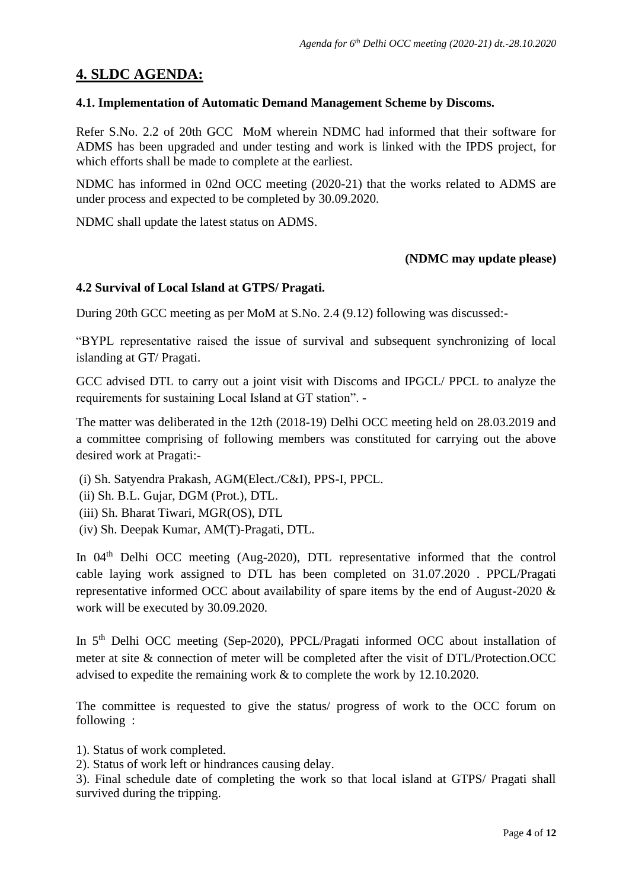### **4. SLDC AGENDA:**

#### **4.1. Implementation of Automatic Demand Management Scheme by Discoms.**

Refer S.No. 2.2 of 20th GCC MoM wherein NDMC had informed that their software for ADMS has been upgraded and under testing and work is linked with the IPDS project, for which efforts shall be made to complete at the earliest.

NDMC has informed in 02nd OCC meeting (2020-21) that the works related to ADMS are under process and expected to be completed by 30.09.2020.

NDMC shall update the latest status on ADMS.

#### **(NDMC may update please)**

#### **4.2 Survival of Local Island at GTPS/ Pragati.**

During 20th GCC meeting as per MoM at S.No. 2.4 (9.12) following was discussed:-

"BYPL representative raised the issue of survival and subsequent synchronizing of local islanding at GT/ Pragati.

GCC advised DTL to carry out a joint visit with Discoms and IPGCL/ PPCL to analyze the requirements for sustaining Local Island at GT station". -

The matter was deliberated in the 12th (2018-19) Delhi OCC meeting held on 28.03.2019 and a committee comprising of following members was constituted for carrying out the above desired work at Pragati:-

(i) Sh. Satyendra Prakash, AGM(Elect./C&I), PPS-I, PPCL.

(ii) Sh. B.L. Gujar, DGM (Prot.), DTL.

(iii) Sh. Bharat Tiwari, MGR(OS), DTL

(iv) Sh. Deepak Kumar, AM(T)-Pragati, DTL.

In 04<sup>th</sup> Delhi OCC meeting (Aug-2020), DTL representative informed that the control cable laying work assigned to DTL has been completed on 31.07.2020 . PPCL/Pragati representative informed OCC about availability of spare items by the end of August-2020 & work will be executed by 30.09.2020.

In 5<sup>th</sup> Delhi OCC meeting (Sep-2020), PPCL/Pragati informed OCC about installation of meter at site & connection of meter will be completed after the visit of DTL/Protection.OCC advised to expedite the remaining work & to complete the work by 12.10.2020.

The committee is requested to give the status/ progress of work to the OCC forum on following :

1). Status of work completed.

2). Status of work left or hindrances causing delay.

3). Final schedule date of completing the work so that local island at GTPS/ Pragati shall survived during the tripping.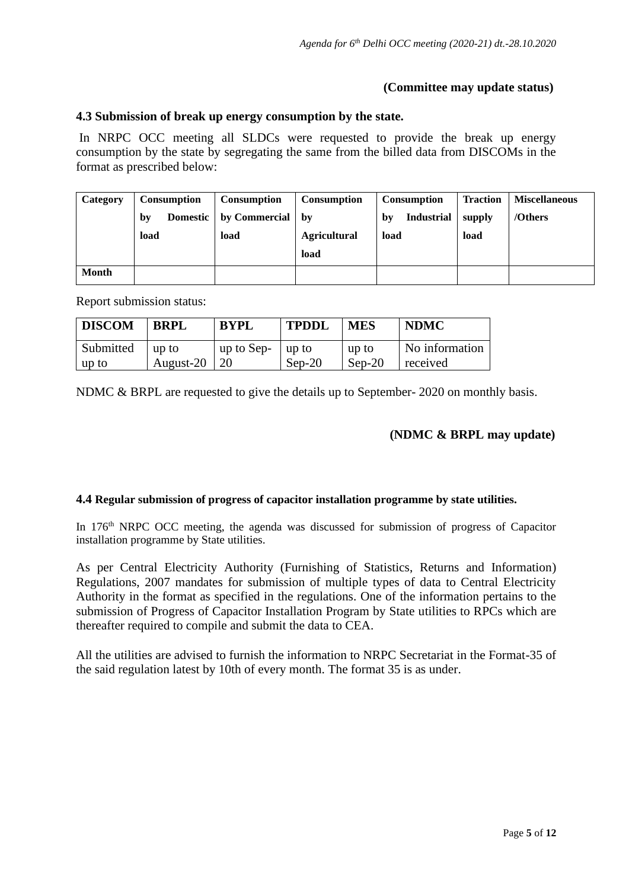#### **(Committee may update status)**

#### **4.3 Submission of break up energy consumption by the state.**

In NRPC OCC meeting all SLDCs were requested to provide the break up energy consumption by the state by segregating the same from the billed data from DISCOMs in the format as prescribed below:

| Category     | <b>Consumption</b> | <b>Consumption</b> | <b>Consumption</b>  | <b>Consumption</b>      | <b>Traction</b> | <b>Miscellaneous</b> |
|--------------|--------------------|--------------------|---------------------|-------------------------|-----------------|----------------------|
|              | Domestic  <br>by   | by Commercial      | by                  | <b>Industrial</b><br>bv | supply          | /Others              |
|              | load               | load               | <b>Agricultural</b> | load                    | load            |                      |
|              |                    |                    | load                |                         |                 |                      |
| <b>Month</b> |                    |                    |                     |                         |                 |                      |

Report submission status:

| <b>DISCOM</b>    | <b>BRPL</b> | <b>BYPL</b> | <b>TPDDL</b> | <b>MES</b> | <b>NDMC</b>    |
|------------------|-------------|-------------|--------------|------------|----------------|
| <b>Submitted</b> | up to       | up to Sep-  | up to        | up to      | No information |
| up to            | August-20   |             | $Sep-20$     | $Sep-20$   | received       |

NDMC & BRPL are requested to give the details up to September- 2020 on monthly basis.

#### **(NDMC & BRPL may update)**

#### **4.4 Regular submission of progress of capacitor installation programme by state utilities.**

In 176<sup>th</sup> NRPC OCC meeting, the agenda was discussed for submission of progress of Capacitor installation programme by State utilities.

As per Central Electricity Authority (Furnishing of Statistics, Returns and Information) Regulations, 2007 mandates for submission of multiple types of data to Central Electricity Authority in the format as specified in the regulations. One of the information pertains to the submission of Progress of Capacitor Installation Program by State utilities to RPCs which are thereafter required to compile and submit the data to CEA.

All the utilities are advised to furnish the information to NRPC Secretariat in the Format-35 of the said regulation latest by 10th of every month. The format 35 is as under.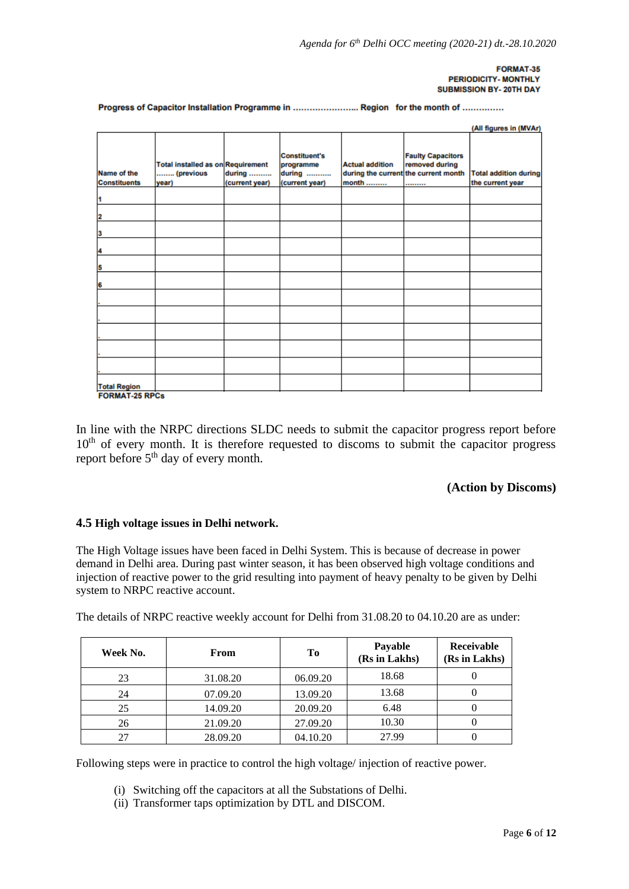#### **FORMAT-35** PERIODICITY- MONTHLY **SUBMISSION BY-20TH DAY**

Progress of Capacitor Installation Programme in ......................... Region for the month of ..............

|                                    |                                                                |                          |                                                               |                                 |                                                                                        | (All figures in (MVAr)                           |
|------------------------------------|----------------------------------------------------------------|--------------------------|---------------------------------------------------------------|---------------------------------|----------------------------------------------------------------------------------------|--------------------------------------------------|
| Name of the<br><b>Constituents</b> | <b>Total installed as on Requirement</b><br>(previous<br>year) | during<br>(current year) | <b>Constituent's</b><br>programme<br>during<br>(current year) | <b>Actual addition</b><br>month | <b>Faulty Capacitors</b><br>removed during<br>during the current the current month<br> | <b>Total addition during</b><br>the current year |
| 1                                  |                                                                |                          |                                                               |                                 |                                                                                        |                                                  |
| $\overline{\mathbf{2}}$            |                                                                |                          |                                                               |                                 |                                                                                        |                                                  |
| 3                                  |                                                                |                          |                                                               |                                 |                                                                                        |                                                  |
| 4                                  |                                                                |                          |                                                               |                                 |                                                                                        |                                                  |
| 5                                  |                                                                |                          |                                                               |                                 |                                                                                        |                                                  |
| 6                                  |                                                                |                          |                                                               |                                 |                                                                                        |                                                  |
|                                    |                                                                |                          |                                                               |                                 |                                                                                        |                                                  |
|                                    |                                                                |                          |                                                               |                                 |                                                                                        |                                                  |
|                                    |                                                                |                          |                                                               |                                 |                                                                                        |                                                  |
|                                    |                                                                |                          |                                                               |                                 |                                                                                        |                                                  |
|                                    |                                                                |                          |                                                               |                                 |                                                                                        |                                                  |
| <b>Total Region</b>                |                                                                |                          |                                                               |                                 |                                                                                        |                                                  |
| <b>FORMAT-25 RPCs</b>              |                                                                |                          |                                                               |                                 |                                                                                        |                                                  |

In line with the NRPC directions SLDC needs to submit the capacitor progress report before  $10<sup>th</sup>$  of every month. It is therefore requested to discoms to submit the capacitor progress report before 5th day of every month.

#### **(Action by Discoms)**

#### **4.5 High voltage issues in Delhi network.**

The High Voltage issues have been faced in Delhi System. This is because of decrease in power demand in Delhi area. During past winter season, it has been observed high voltage conditions and injection of reactive power to the grid resulting into payment of heavy penalty to be given by Delhi system to NRPC reactive account.

The details of NRPC reactive weekly account for Delhi from 31.08.20 to 04.10.20 are as under:

| Week No. | <b>From</b> | Tо       | <b>Payable</b><br>(Rs in Lakhs) | Receivable<br>(Rs in Lakhs) |
|----------|-------------|----------|---------------------------------|-----------------------------|
| 23       | 31.08.20    | 06.09.20 | 18.68                           |                             |
| 24       | 07.09.20    | 13.09.20 | 13.68                           |                             |
| 25       | 14.09.20    | 20.09.20 | 6.48                            |                             |
| 26       | 21.09.20    | 27.09.20 | 10.30                           |                             |
| 27       | 28.09.20    | 04.10.20 | 27.99                           |                             |

Following steps were in practice to control the high voltage/ injection of reactive power.

- (i) Switching off the capacitors at all the Substations of Delhi.
- (ii) Transformer taps optimization by DTL and DISCOM.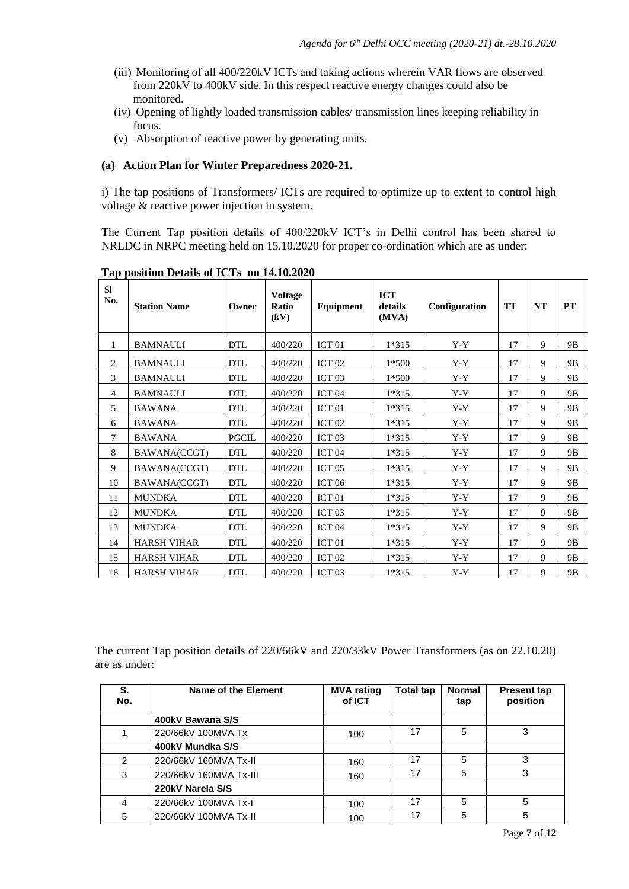- (iii) Monitoring of all 400/220kV ICTs and taking actions wherein VAR flows are observed from 220kV to 400kV side. In this respect reactive energy changes could also be monitored.
- (iv) Opening of lightly loaded transmission cables/ transmission lines keeping reliability in focus.
- (v) Absorption of reactive power by generating units.

#### **(a) Action Plan for Winter Preparedness 2020-21.**

i) The tap positions of Transformers/ ICTs are required to optimize up to extent to control high voltage & reactive power injection in system.

The Current Tap position details of 400/220kV ICT's in Delhi control has been shared to NRLDC in NRPC meeting held on 15.10.2020 for proper co-ordination which are as under:

| <b>SI</b><br>No. | <b>Station Name</b> | Owner        | <b>Voltage</b><br>Ratio<br>(kV) | <b>Equipment</b>  | <b>ICT</b><br>details<br>(MVA) | Configuration | <b>TT</b> | NT | <b>PT</b>      |
|------------------|---------------------|--------------|---------------------------------|-------------------|--------------------------------|---------------|-----------|----|----------------|
| 1                | <b>BAMNAULI</b>     | <b>DTL</b>   | 400/220                         | ICT <sub>01</sub> | 1*315                          | Y-Y           | 17        | 9  | 9B             |
| 2                | <b>BAMNAULI</b>     | <b>DTL</b>   | 400/220                         | ICT <sub>02</sub> | $1*500$                        | $Y-Y$         | 17        | 9  | 9 <sub>B</sub> |
| 3                | <b>BAMNAULI</b>     | <b>DTL</b>   | 400/220                         | ICT <sub>03</sub> | $1*500$                        | $Y-Y$         | 17        | 9  | 9B             |
| 4                | <b>BAMNAULI</b>     | <b>DTL</b>   | 400/220                         | ICT <sub>04</sub> | $1*315$                        | $Y-Y$         | 17        | 9  | 9B             |
| 5                | <b>BAWANA</b>       | <b>DTL</b>   | 400/220                         | ICT <sub>01</sub> | 1*315                          | $Y-Y$         | 17        | 9  | 9B             |
| 6                | <b>BAWANA</b>       | <b>DTL</b>   | 400/220                         | ICT <sub>02</sub> | 1*315                          | $Y-Y$         | 17        | 9  | 9B             |
| 7                | <b>BAWANA</b>       | <b>PGCIL</b> | 400/220                         | ICT <sub>03</sub> | 1*315                          | $Y-Y$         | 17        | 9  | 9B             |
| 8                | BAWANA(CCGT)        | <b>DTL</b>   | 400/220                         | ICT <sub>04</sub> | $1*315$                        | $Y - Y$       | 17        | 9  | 9 <sub>B</sub> |
| 9                | BAWANA(CCGT)        | <b>DTL</b>   | 400/220                         | ICT <sub>05</sub> | 1*315                          | $Y-Y$         | 17        | 9  | 9B             |
| 10               | BAWANA(CCGT)        | <b>DTL</b>   | 400/220                         | ICT <sub>06</sub> | $1*315$                        | $Y-Y$         | 17        | 9  | 9B             |
| 11               | <b>MUNDKA</b>       | <b>DTL</b>   | 400/220                         | ICT <sub>01</sub> | 1*315                          | $Y-Y$         | 17        | 9  | 9B             |
| 12               | <b>MUNDKA</b>       | <b>DTL</b>   | 400/220                         | ICT <sub>03</sub> | 1*315                          | $Y-Y$         | 17        | 9  | 9 <sub>B</sub> |
| 13               | <b>MUNDKA</b>       | <b>DTL</b>   | 400/220                         | ICT <sub>04</sub> | 1*315                          | $Y-Y$         | 17        | 9  | 9B             |
| 14               | <b>HARSH VIHAR</b>  | <b>DTL</b>   | 400/220                         | ICT <sub>01</sub> | 1*315                          | $Y-Y$         | 17        | 9  | 9B             |
| 15               | <b>HARSH VIHAR</b>  | <b>DTL</b>   | 400/220                         | ICT <sub>02</sub> | 1*315                          | $Y-Y$         | 17        | 9  | 9B             |
| 16               | <b>HARSH VIHAR</b>  | <b>DTL</b>   | 400/220                         | ICT <sub>03</sub> | 1*315                          | $Y-Y$         | 17        | 9  | 9B             |

**Tap position Details of ICTs on 14.10.2020** 

The current Tap position details of 220/66kV and 220/33kV Power Transformers (as on 22.10.20) are as under:

| S.<br>No.     | Name of the Element    | <b>MVA</b> rating<br>of ICT | Total tap | <b>Normal</b><br>tap | <b>Present tap</b><br>position |
|---------------|------------------------|-----------------------------|-----------|----------------------|--------------------------------|
|               | 400kV Bawana S/S       |                             |           |                      |                                |
|               | 220/66kV 100MVA Tx     | 100                         | 17        | 5                    | 3                              |
|               | 400kV Mundka S/S       |                             |           |                      |                                |
| $\mathcal{P}$ | 220/66kV 160MVA Tx-II  | 160                         | 17        | 5                    | 3                              |
| 3             | 220/66kV 160MVA Tx-III | 160                         | 17        | 5                    | 3                              |
|               | 220kV Narela S/S       |                             |           |                      |                                |
| 4             | 220/66kV 100MVA Tx-I   | 100                         | 17        | 5                    | 5                              |
| 5             | 220/66kV 100MVA Tx-II  | 100                         | 17        | 5                    | 5                              |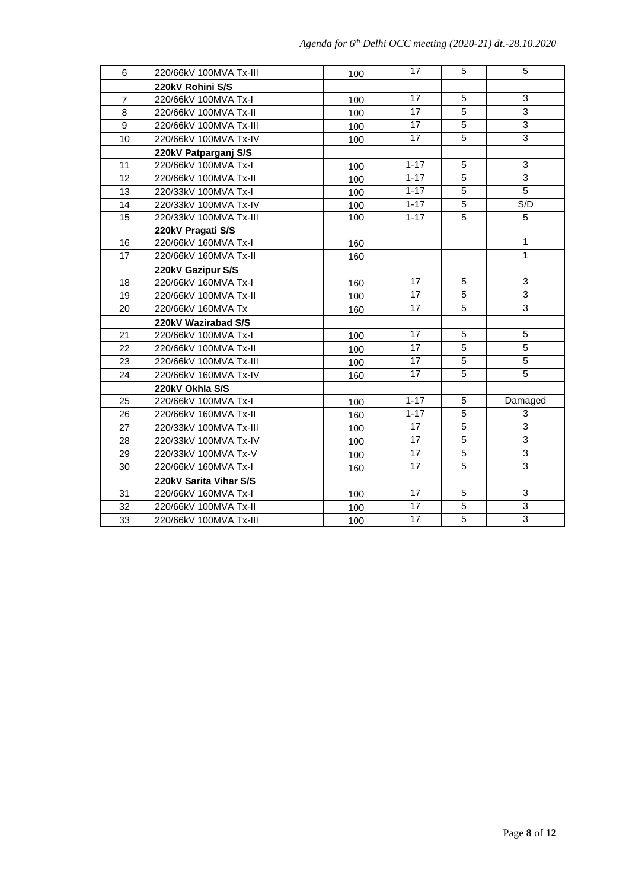| 6               | 220/66kV 100MVA Tx-III | 100 | 17              | 5              | 5              |
|-----------------|------------------------|-----|-----------------|----------------|----------------|
|                 | 220kV Rohini S/S       |     |                 |                |                |
| $\overline{7}$  | 220/66kV 100MVA Tx-I   | 100 | 17              | 5              | 3              |
| 8               | 220/66kV 100MVA Tx-II  | 100 | 17              | 5              | $\overline{3}$ |
| 9               | 220/66kV 100MVA Tx-III | 100 | 17              | 5              | $\overline{3}$ |
| 10              | 220/66kV 100MVA Tx-IV  | 100 | 17              | $\overline{5}$ | $\overline{3}$ |
|                 | 220kV Patparganj S/S   |     |                 |                |                |
| 11              | 220/66kV 100MVA Tx-I   | 100 | $1 - 17$        | 5              | 3              |
| 12              | 220/66kV 100MVA Tx-II  | 100 | $1 - 17$        | 5              | $\overline{3}$ |
| 13              | 220/33kV 100MVA Tx-I   | 100 | $1 - 17$        | 5              | $\overline{5}$ |
| 14              | 220/33kV 100MVA Tx-IV  | 100 | $1 - 17$        | $\overline{5}$ | S/D            |
| $\overline{15}$ | 220/33kV 100MVA Tx-III | 100 | $1 - 17$        | $\overline{5}$ | 5              |
|                 | 220kV Pragati S/S      |     |                 |                |                |
| 16              | 220/66kV 160MVA Tx-I   | 160 |                 |                | $\mathbf{1}$   |
| 17              | 220/66kV 160MVA Tx-II  | 160 |                 |                | $\mathbf{1}$   |
|                 | 220kV Gazipur S/S      |     |                 |                |                |
| 18              | 220/66kV 160MVA Tx-I   | 160 | 17              | 5              | 3              |
| 19              | 220/66kV 100MVA Tx-II  | 100 | 17              | 5              | 3              |
| 20              | 220/66kV 160MVA Tx     | 160 | 17              | 5              | 3              |
|                 | 220kV Wazirabad S/S    |     |                 |                |                |
| 21              | 220/66kV 100MVA Tx-I   | 100 | 17              | 5              | 5              |
| 22              | 220/66kV 100MVA Tx-II  | 100 | 17              | 5              | 5              |
| 23              | 220/66kV 100MVA Tx-III | 100 | 17              | 5              | $\overline{5}$ |
| 24              | 220/66kV 160MVA Tx-IV  | 160 | 17              | $\overline{5}$ | $\overline{5}$ |
|                 | 220kV Okhla S/S        |     |                 |                |                |
| 25              | 220/66kV 100MVA Tx-I   | 100 | $1 - 17$        | 5              | Damaged        |
| 26              | 220/66kV 160MVA Tx-II  | 160 | $1 - 17$        | 5              | 3              |
| 27              | 220/33kV 100MVA Tx-III | 100 | 17              | 5              | 3              |
| 28              | 220/33kV 100MVA Tx-IV  | 100 | $\overline{17}$ | $\overline{5}$ | $\overline{3}$ |
| 29              | 220/33kV 100MVA Tx-V   | 100 | $\overline{17}$ | $\overline{5}$ | $\overline{3}$ |
| 30              | 220/66kV 160MVA Tx-I   | 160 | 17              | 5              | $\overline{3}$ |
|                 | 220kV Sarita Vihar S/S |     |                 |                |                |
| 31              | 220/66kV 160MVA Tx-I   | 100 | 17              | 5              | $\mathbf{3}$   |
| 32              | 220/66kV 100MVA Tx-II  | 100 | 17              | 5              | 3              |
| 33              | 220/66kV 100MVA Tx-III | 100 | 17              | $\overline{5}$ | $\overline{3}$ |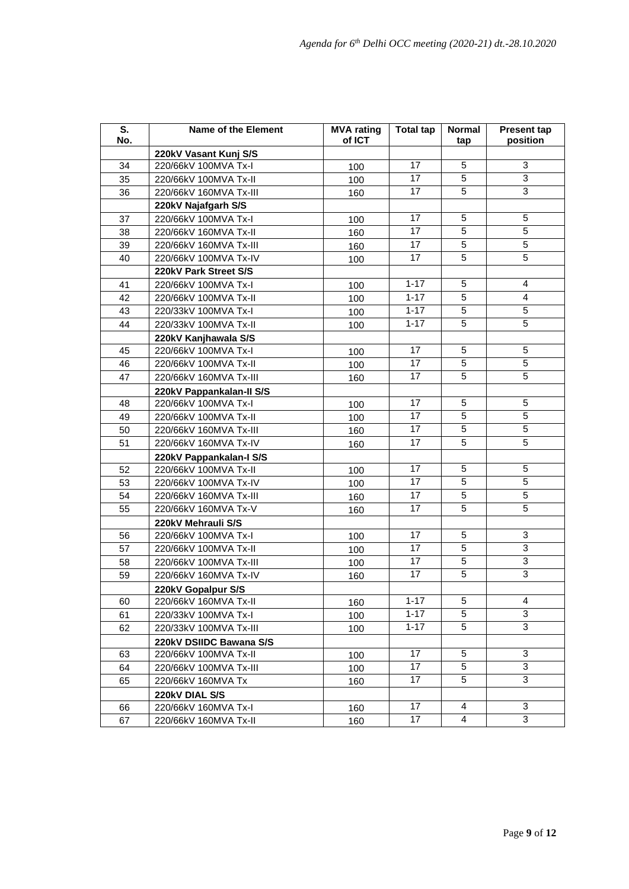| S.<br>No. | <b>Name of the Element</b> | <b>MVA</b> rating<br>of ICT | <b>Total tap</b> | <b>Normal</b><br>tap | <b>Present tap</b><br>position |
|-----------|----------------------------|-----------------------------|------------------|----------------------|--------------------------------|
|           | 220kV Vasant Kunj S/S      |                             |                  |                      |                                |
| 34        | 220/66kV 100MVA Tx-I       | 100                         | 17               | 5                    | 3                              |
| 35        | 220/66kV 100MVA Tx-II      | 100                         | 17               | 5                    | $\overline{3}$                 |
| 36        | 220/66kV 160MVA Tx-III     | 160                         | 17               | 5                    | 3                              |
|           | 220kV Najafgarh S/S        |                             |                  |                      |                                |
| 37        | 220/66kV 100MVA Tx-I       | 100                         | 17               | 5                    | 5                              |
| 38        | 220/66kV 160MVA Tx-II      | 160                         | 17               | $\sqrt{5}$           | $\overline{5}$                 |
| 39        | 220/66kV 160MVA Tx-III     | 160                         | 17               | 5                    | $\overline{5}$                 |
| 40        | 220/66kV 100MVA Tx-IV      | 100                         | 17               | 5                    | $\overline{5}$                 |
|           | 220kV Park Street S/S      |                             |                  |                      |                                |
| 41        | 220/66kV 100MVA Tx-I       | 100                         | $1 - 17$         | 5                    | 4                              |
| 42        | 220/66kV 100MVA Tx-II      | 100                         | $1 - 17$         | 5                    | 4                              |
| 43        | 220/33kV 100MVA Tx-I       | 100                         | $1 - 17$         | 5                    | 5                              |
| 44        | 220/33kV 100MVA Tx-II      | 100                         | $1 - 17$         | 5                    | 5                              |
|           | 220kV Kanjhawala S/S       |                             |                  |                      |                                |
| 45        | 220/66kV 100MVA Tx-I       | 100                         | 17               | 5                    | 5                              |
| 46        | 220/66kV 100MVA Tx-II      | 100                         | 17               | 5                    | $\sqrt{5}$                     |
| 47        | 220/66kV 160MVA Tx-III     | 160                         | 17               | 5                    | 5                              |
|           | 220kV Pappankalan-II S/S   |                             |                  |                      |                                |
| 48        | 220/66kV 100MVA Tx-I       | 100                         | 17               | 5                    | 5                              |
| 49        | 220/66kV 100MVA Tx-II      | 100                         | 17               | $\sqrt{5}$           | $\overline{5}$                 |
| 50        | 220/66kV 160MVA Tx-III     | 160                         | 17               | 5                    | $\overline{5}$                 |
| 51        | 220/66kV 160MVA Tx-IV      | 160                         | 17               | 5                    | $\sqrt{5}$                     |
|           | 220kV Pappankalan-I S/S    |                             |                  |                      |                                |
| 52        | 220/66kV 100MVA Tx-II      | 100                         | 17               | 5                    | 5                              |
| 53        | 220/66kV 100MVA Tx-IV      | 100                         | 17               | 5                    | 5                              |
| 54        | 220/66kV 160MVA Tx-III     | 160                         | 17               | 5                    | 5                              |
| 55        | 220/66kV 160MVA Tx-V       | 160                         | 17               | 5                    | 5                              |
|           | 220kV Mehrauli S/S         |                             |                  |                      |                                |
| 56        | 220/66kV 100MVA Tx-I       | 100                         | 17               | 5                    | 3                              |
| 57        | 220/66kV 100MVA Tx-II      | 100                         | 17               | 5                    | $\overline{3}$                 |
| 58        | 220/66kV 100MVA Tx-III     | 100                         | 17               | 5                    | $\overline{3}$                 |
| 59        | 220/66kV 160MVA Tx-IV      | 160                         | 17               | 5                    | $\ensuremath{\mathsf{3}}$      |
|           | 220kV Gopalpur S/S         |                             |                  |                      |                                |
| 60        | 220/66kV 160MVA Tx-II      | 160                         | $1 - 17$         | 5                    | $\overline{4}$                 |
| 61        | 220/33kV 100MVA Tx-I       | 100                         | $1 - 17$         | 5                    | 3                              |
| 62        | 220/33kV 100MVA Tx-III     | 100                         | $1 - 17$         | 5                    | 3                              |
|           | 220kV DSIIDC Bawana S/S    |                             |                  |                      |                                |
| 63        | 220/66kV 100MVA Tx-II      | 100                         | 17               | 5                    | 3                              |
| 64        | 220/66kV 100MVA Tx-III     | 100                         | 17               | 5                    | 3                              |
| 65        | 220/66kV 160MVA Tx         | 160                         | 17               | 5                    | 3                              |
|           | 220kV DIAL S/S             |                             |                  |                      |                                |
| 66        | 220/66kV 160MVA Tx-I       | 160                         | 17               | $\overline{4}$       | 3                              |
| 67        | 220/66kV 160MVA Tx-II      | 160                         | 17               | 4                    | 3                              |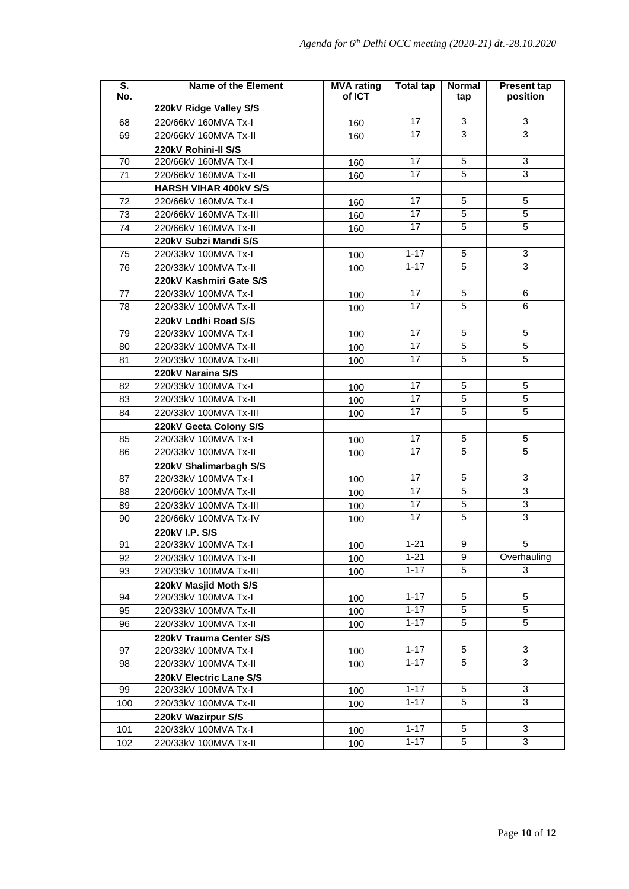| S.<br>No. | <b>Name of the Element</b>                     | <b>MVA</b> rating<br>of ICT | <b>Total tap</b>     | <b>Normal</b><br>tap | <b>Present tap</b><br>position |
|-----------|------------------------------------------------|-----------------------------|----------------------|----------------------|--------------------------------|
|           | 220kV Ridge Valley S/S                         |                             |                      |                      |                                |
| 68        | 220/66kV 160MVA Tx-I                           | 160                         | 17                   | 3                    | $\mathbf{3}$                   |
| 69        | 220/66kV 160MVA Tx-II                          | 160                         | 17                   | 3                    | $\overline{3}$                 |
|           | 220kV Rohini-II S/S                            |                             |                      |                      |                                |
| 70        | 220/66kV 160MVA Tx-I                           | 160                         | 17                   | 5                    | $\overline{3}$                 |
| 71        | 220/66kV 160MVA Tx-II                          | 160                         | 17                   | 5                    | $\overline{3}$                 |
|           | <b>HARSH VIHAR 400kV S/S</b>                   |                             |                      |                      |                                |
| 72        | 220/66kV 160MVA Tx-I                           | 160                         | 17                   | 5                    | $\sqrt{5}$                     |
| 73        | 220/66kV 160MVA Tx-III                         | 160                         | 17                   | 5                    | 5                              |
| 74        | 220/66kV 160MVA Tx-II                          | 160                         | 17                   | 5                    | 5                              |
|           | 220kV Subzi Mandi S/S                          |                             |                      |                      |                                |
| 75        | 220/33kV 100MVA Tx-I                           | 100                         | $1 - 17$             | 5                    | $\overline{3}$                 |
| 76        | 220/33kV 100MVA Tx-II                          | 100                         | $1 - 17$             | 5                    | 3                              |
|           | 220kV Kashmiri Gate S/S                        |                             |                      |                      |                                |
| 77        | 220/33kV 100MVA Tx-I                           | 100                         | 17                   | 5                    | 6                              |
| 78        | 220/33kV 100MVA Tx-II                          | 100                         | 17                   | 5                    | 6                              |
|           | 220kV Lodhi Road S/S                           |                             |                      |                      |                                |
| 79        | 220/33kV 100MVA Tx-I                           | 100                         | 17                   | 5                    | $\sqrt{5}$                     |
| 80        | 220/33kV 100MVA Tx-II                          | 100                         | 17                   | 5                    | 5                              |
| 81        | 220/33kV 100MVA Tx-III                         | 100                         | 17                   | 5                    | $\overline{5}$                 |
|           | 220kV Naraina S/S                              |                             |                      |                      |                                |
| 82        | 220/33kV 100MVA Tx-I                           |                             | 17                   | 5                    | 5                              |
| 83        | 220/33kV 100MVA Tx-II                          | 100                         | 17                   | 5                    | 5                              |
| 84        | 220/33kV 100MVA Tx-III                         | 100                         | 17                   | 5                    | 5                              |
|           |                                                | 100                         |                      |                      |                                |
| 85        | 220kV Geeta Colony S/S<br>220/33kV 100MVA Tx-I |                             | 17                   | 5                    | 5                              |
|           |                                                | 100                         | 17                   | 5                    | $\overline{5}$                 |
| 86        | 220/33kV 100MVA Tx-II                          | 100                         |                      |                      |                                |
|           | 220kV Shalimarbagh S/S                         |                             | 17                   | 5                    | 3                              |
| 87        | 220/33kV 100MVA Tx-I                           | 100                         | 17                   | 5                    | $\overline{3}$                 |
| 88        | 220/66kV 100MVA Tx-II                          | 100                         | 17                   | 5                    | $\overline{3}$                 |
| 89        | 220/33kV 100MVA Tx-III                         | 100                         | 17                   | 5                    | $\overline{3}$                 |
| 90        | 220/66kV 100MVA Tx-IV                          | 100                         |                      |                      |                                |
|           | 220kV I.P. S/S                                 |                             | $1 - 21$             | 9                    | 5                              |
| 91        | 220/33kV 100MVA Tx-I                           | 100                         |                      |                      |                                |
| 92        | 220/33kV 100MVA Tx-II                          | 100                         | $1 - 21$<br>$1 - 17$ | 9<br>5               | Overhauling<br>3               |
| 93        | 220/33kV 100MVA Tx-III                         | 100                         |                      |                      |                                |
|           | 220kV Masjid Moth S/S                          |                             |                      |                      |                                |
| 94        | 220/33kV 100MVA Tx-I                           | 100                         | $1 - 17$             | 5<br>$\overline{5}$  | 5<br>$\overline{5}$            |
| 95        | 220/33kV 100MVA Tx-II                          | 100                         | $1 - 17$             |                      |                                |
| 96        | 220/33kV 100MVA Tx-II                          | 100                         | $1 - 17$             | 5                    | $\overline{5}$                 |
|           | 220kV Trauma Center S/S                        |                             |                      |                      |                                |
| 97        | 220/33kV 100MVA Tx-I                           | 100                         | $1 - 17$             | 5                    | $\ensuremath{\mathsf{3}}$      |
| 98        | 220/33kV 100MVA Tx-II                          | 100                         | $1 - 17$             | 5                    | 3                              |
|           | 220kV Electric Lane S/S                        |                             |                      |                      |                                |
| 99        | 220/33kV 100MVA Tx-I                           | 100                         | $1 - 17$             | 5                    | $\mathbf{3}$                   |
| 100       | 220/33kV 100MVA Tx-II                          | 100                         | $1 - 17$             | 5                    | 3                              |
|           | 220kV Wazirpur S/S                             |                             |                      |                      |                                |
| 101       | 220/33kV 100MVA Tx-I                           | 100                         | $1 - 17$             | 5                    | 3                              |
| 102       | 220/33kV 100MVA Tx-II                          | 100                         | $1 - 17$             | 5                    | 3                              |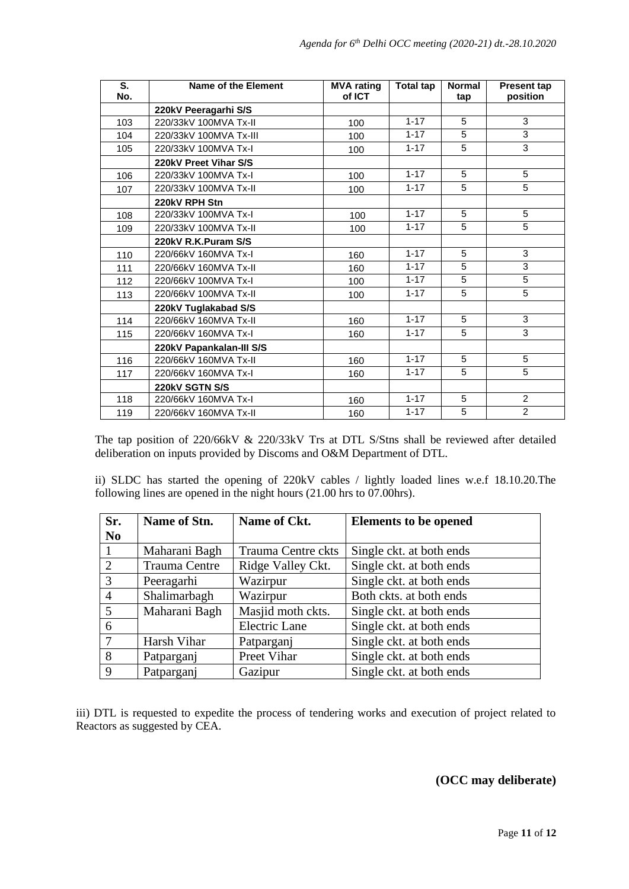| S.<br>No. | Name of the Element      | <b>MVA</b> rating<br>of ICT | <b>Total tap</b> | <b>Normal</b><br>tap | <b>Present tap</b><br>position |
|-----------|--------------------------|-----------------------------|------------------|----------------------|--------------------------------|
|           | 220kV Peeragarhi S/S     |                             |                  |                      |                                |
| 103       | 220/33kV 100MVA Tx-II    | 100                         | $1 - 17$         | 5                    | 3                              |
| 104       | 220/33kV 100MVA Tx-III   | 100                         | $1 - 17$         | 5                    | 3                              |
| 105       | 220/33kV 100MVA Tx-I     | 100                         | $1 - 17$         | 5                    | $\overline{3}$                 |
|           | 220kV Preet Vihar S/S    |                             |                  |                      |                                |
| 106       | 220/33kV 100MVA Tx-I     | 100                         | $1 - 17$         | 5                    | 5                              |
| 107       | 220/33kV 100MVA Tx-II    | 100                         | $1 - 17$         | 5                    | 5                              |
|           | 220kV RPH Stn            |                             |                  |                      |                                |
| 108       | 220/33kV 100MVA Tx-I     | 100                         | $1 - 17$         | 5                    | 5                              |
| 109       | 220/33kV 100MVA Tx-II    | 100                         | $1 - 17$         | 5                    | 5                              |
|           | 220kV R.K.Puram S/S      |                             |                  |                      |                                |
| 110       | 220/66kV 160MVA Tx-I     | 160                         | $1 - 17$         | 5                    | $\overline{3}$                 |
| 111       | 220/66kV 160MVA Tx-II    | 160                         | $1 - 17$         | 5                    | 3                              |
| 112       | 220/66kV 100MVA Tx-I     | 100                         | $1 - 17$         | 5                    | 5                              |
| 113       | 220/66kV 100MVA Tx-II    | 100                         | $1 - 17$         | 5                    | $\overline{5}$                 |
|           | 220kV Tuglakabad S/S     |                             |                  |                      |                                |
| 114       | 220/66kV 160MVA Tx-II    | 160                         | $1 - 17$         | 5                    | 3                              |
| 115       | 220/66kV 160MVA Tx-I     | 160                         | $1 - 17$         | 5                    | $\overline{3}$                 |
|           | 220kV Papankalan-III S/S |                             |                  |                      |                                |
| 116       | 220/66kV 160MVA Tx-II    | 160                         | $1 - 17$         | 5                    | 5                              |
| 117       | 220/66kV 160MVA Tx-I     | 160                         | $1 - 17$         | 5                    | $\overline{5}$                 |
|           | 220kV SGTN S/S           |                             |                  |                      |                                |
| 118       | 220/66kV 160MVA Tx-I     | 160                         | $1 - 17$         | 5                    | $\overline{2}$                 |
| 119       | 220/66kV 160MVA Tx-II    | 160                         | $1 - 17$         | 5                    | $\overline{2}$                 |

The tap position of 220/66kV & 220/33kV Trs at DTL S/Stns shall be reviewed after detailed deliberation on inputs provided by Discoms and O&M Department of DTL.

ii) SLDC has started the opening of 220kV cables / lightly loaded lines w.e.f 18.10.20.The following lines are opened in the night hours (21.00 hrs to 07.00hrs).

| Sr.            | Name of Stn.  | Name of Ckt.         | <b>Elements to be opened</b> |
|----------------|---------------|----------------------|------------------------------|
| <b>No</b>      |               |                      |                              |
|                | Maharani Bagh | Trauma Centre ckts   | Single ckt. at both ends     |
| 2              | Trauma Centre | Ridge Valley Ckt.    | Single ckt. at both ends     |
| 3              | Peeragarhi    | Wazirpur             | Single ckt. at both ends     |
| $\overline{4}$ | Shalimarbagh  | Wazirpur             | Both ckts. at both ends      |
| 5              | Maharani Bagh | Masjid moth ckts.    | Single ckt. at both ends     |
| 6              |               | <b>Electric Lane</b> | Single ckt. at both ends     |
| $\tau$         | Harsh Vihar   | Patparganj           | Single ckt. at both ends     |
| 8              | Patparganj    | Preet Vihar          | Single ckt. at both ends     |
| 9              | Patparganj    | Gazipur              | Single ckt. at both ends     |

iii) DTL is requested to expedite the process of tendering works and execution of project related to Reactors as suggested by CEA.

#### **(OCC may deliberate)**